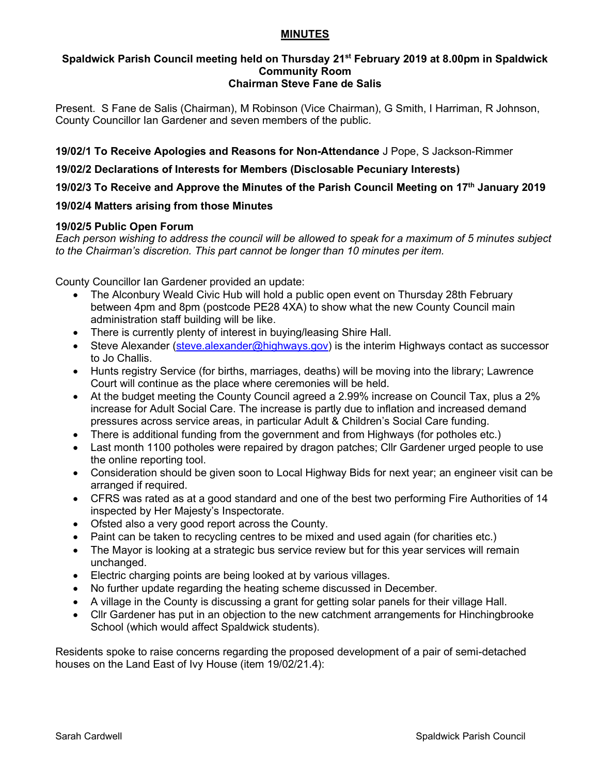## **MINUTES**

#### **Spaldwick Parish Council meeting held on Thursday 21st February 2019 at 8.00pm in Spaldwick Community Room Chairman Steve Fane de Salis**

Present. S Fane de Salis (Chairman), M Robinson (Vice Chairman), G Smith, I Harriman, R Johnson, County Councillor Ian Gardener and seven members of the public.

**19/02/1 To Receive Apologies and Reasons for Non-Attendance** J Pope, S Jackson-Rimmer

**19/02/2 Declarations of Interests for Members (Disclosable Pecuniary Interests)**

**19/02/3 To Receive and Approve the Minutes of the Parish Council Meeting on 17th January 2019**

# **19/02/4 Matters arising from those Minutes**

## **19/02/5 Public Open Forum**

*Each person wishing to address the council will be allowed to speak for a maximum of 5 minutes subject to the Chairman's discretion. This part cannot be longer than 10 minutes per item.* 

County Councillor Ian Gardener provided an update:

- The Alconbury Weald Civic Hub will hold a public open event on Thursday 28th February between 4pm and 8pm (postcode PE28 4XA) to show what the new County Council main administration staff building will be like.
- There is currently plenty of interest in buying/leasing Shire Hall.
- Steve Alexander [\(steve.alexander@highways.gov\)](mailto:steve.alexander@highways.gov) is the interim Highways contact as successor to Jo Challis.
- Hunts registry Service (for births, marriages, deaths) will be moving into the library; Lawrence Court will continue as the place where ceremonies will be held.
- At the budget meeting the County Council agreed a 2.99% increase on Council Tax, plus a 2% increase for Adult Social Care. The increase is partly due to inflation and increased demand pressures across service areas, in particular Adult & Children's Social Care funding.
- There is additional funding from the government and from Highways (for potholes etc.)
- Last month 1100 potholes were repaired by dragon patches; Cllr Gardener urged people to use the online reporting tool.
- Consideration should be given soon to Local Highway Bids for next year; an engineer visit can be arranged if required.
- CFRS was rated as at a good standard and one of the best two performing Fire Authorities of 14 inspected by Her Majesty's Inspectorate.
- Ofsted also a very good report across the County.
- Paint can be taken to recycling centres to be mixed and used again (for charities etc.)
- The Mayor is looking at a strategic bus service review but for this year services will remain unchanged.
- Electric charging points are being looked at by various villages.
- No further update regarding the heating scheme discussed in December.
- A village in the County is discussing a grant for getting solar panels for their village Hall.
- Cllr Gardener has put in an objection to the new catchment arrangements for Hinchingbrooke School (which would affect Spaldwick students).

Residents spoke to raise concerns regarding the proposed development of a pair of semi-detached houses on the Land East of Ivy House (item 19/02/21.4):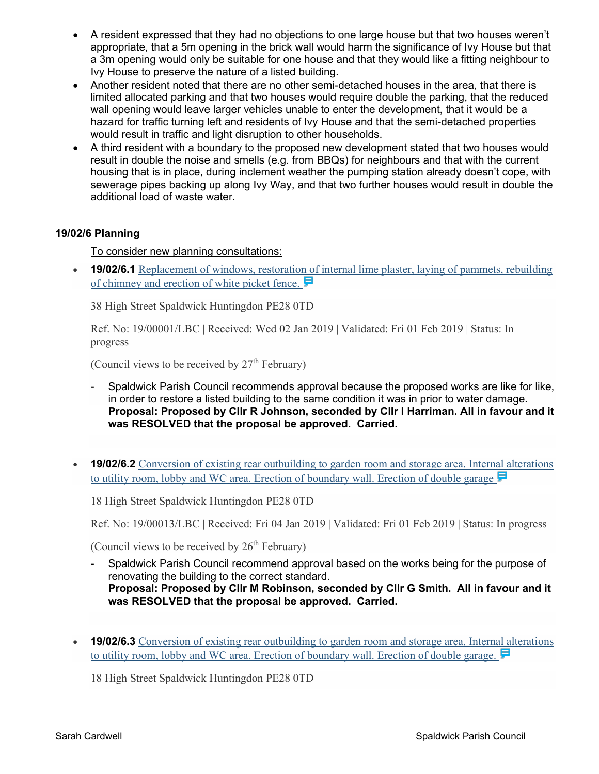- A resident expressed that they had no objections to one large house but that two houses weren't appropriate, that a 5m opening in the brick wall would harm the significance of Ivy House but that a 3m opening would only be suitable for one house and that they would like a fitting neighbour to Ivy House to preserve the nature of a listed building.
- Another resident noted that there are no other semi-detached houses in the area, that there is limited allocated parking and that two houses would require double the parking, that the reduced wall opening would leave larger vehicles unable to enter the development, that it would be a hazard for traffic turning left and residents of Ivy House and that the semi-detached properties would result in traffic and light disruption to other households.
- A third resident with a boundary to the proposed new development stated that two houses would result in double the noise and smells (e.g. from BBQs) for neighbours and that with the current housing that is in place, during inclement weather the pumping station already doesn't cope, with sewerage pipes backing up along Ivy Way, and that two further houses would result in double the additional load of waste water.

## **19/02/6 Planning**

#### To consider new planning consultations:

• **19/02/6.1** Replacement of windows, restoration of internal lime plaster, laying of pammets, rebuilding of chimney and erection of white picket fence.

38 High Street Spaldwick Huntingdon PE28 0TD

Ref. No: 19/00001/LBC | Received: Wed 02 Jan 2019 | Validated: Fri 01 Feb 2019 | Status: In progress

(Council views to be received by  $27<sup>th</sup>$  February)

- Spaldwick Parish Council recommends approval because the proposed works are like for like, in order to restore a listed building to the same condition it was in prior to water damage. **Proposal: Proposed by Cllr R Johnson, seconded by Cllr I Harriman. All in favour and it was RESOLVED that the proposal be approved. Carried.**
- **19/02/6.2** Conversion of existing rear outbuilding to garden room and storage area. Internal alterations to utility room, lobby and WC area. Erection of boundary wall. Erection of double garage

18 High Street Spaldwick Huntingdon PE28 0TD

Ref. No: 19/00013/LBC | Received: Fri 04 Jan 2019 | Validated: Fri 01 Feb 2019 | Status: In progress

(Council views to be received by  $26<sup>th</sup>$  February)

- Spaldwick Parish Council recommend approval based on the works being for the purpose of renovating the building to the correct standard. **Proposal: Proposed by Cllr M Robinson, seconded by Cllr G Smith. All in favour and it was RESOLVED that the proposal be approved. Carried.**
- **19/02/6.3** Conversion of existing rear outbuilding to garden room and storage area. Internal alterations to utility room, lobby and WC area. Erection of boundary wall. Erection of double garage.

18 High Street Spaldwick Huntingdon PE28 0TD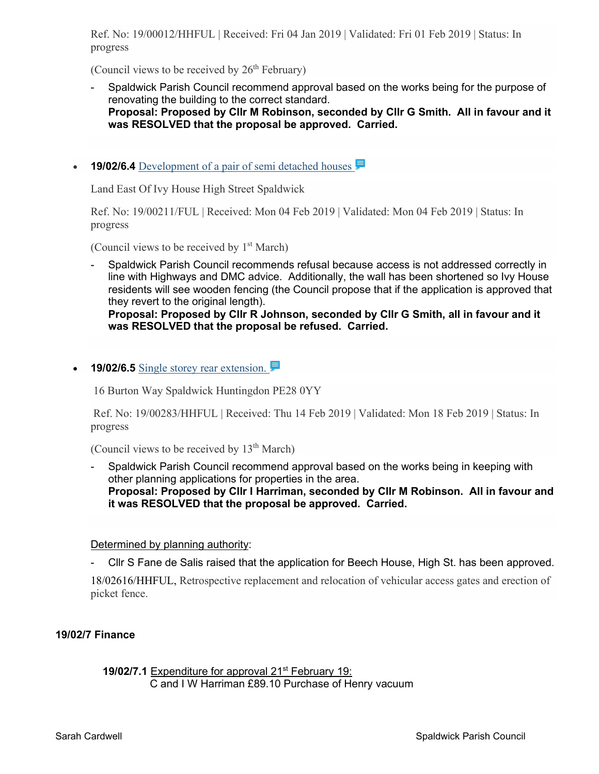Ref. No: 19/00012/HHFUL | Received: Fri 04 Jan 2019 | Validated: Fri 01 Feb 2019 | Status: In progress

(Council views to be received by  $26<sup>th</sup>$  February)

- Spaldwick Parish Council recommend approval based on the works being for the purpose of renovating the building to the correct standard. **Proposal: Proposed by Cllr M Robinson, seconded by Cllr G Smith. All in favour and it was RESOLVED that the proposal be approved. Carried.**
- **19/02/6.4** Development of a pair of semi detached houses

Land East Of Ivy House High Street Spaldwick

Ref. No: 19/00211/FUL | Received: Mon 04 Feb 2019 | Validated: Mon 04 Feb 2019 | Status: In progress

(Council views to be received by  $1<sup>st</sup> March$ )

Spaldwick Parish Council recommends refusal because access is not addressed correctly in line with Highways and DMC advice. Additionally, the wall has been shortened so Ivy House residents will see wooden fencing (the Council propose that if the application is approved that they revert to the original length).

**Proposal: Proposed by Cllr R Johnson, seconded by Cllr G Smith, all in favour and it was RESOLVED that the proposal be refused. Carried.**

• **19/02/6.5** Single storey rear extension.

16 Burton Way Spaldwick Huntingdon PE28 0YY

Ref. No: 19/00283/HHFUL | Received: Thu 14 Feb 2019 | Validated: Mon 18 Feb 2019 | Status: In progress

(Council views to be received by  $13<sup>th</sup> March$ )

Spaldwick Parish Council recommend approval based on the works being in keeping with other planning applications for properties in the area. **Proposal: Proposed by Cllr I Harriman, seconded by Cllr M Robinson. All in favour and it was RESOLVED that the proposal be approved. Carried.**

#### Determined by planning authority:

- Cllr S Fane de Salis raised that the application for Beech House, High St. has been approved.

18/02616/HHFUL, Retrospective replacement and relocation of vehicular access gates and erection of picket fence.

#### **19/02/7 Finance**

**19/02/7.1** Expenditure for approval 21<sup>st</sup> February 19: C and I W Harriman £89.10 Purchase of Henry vacuum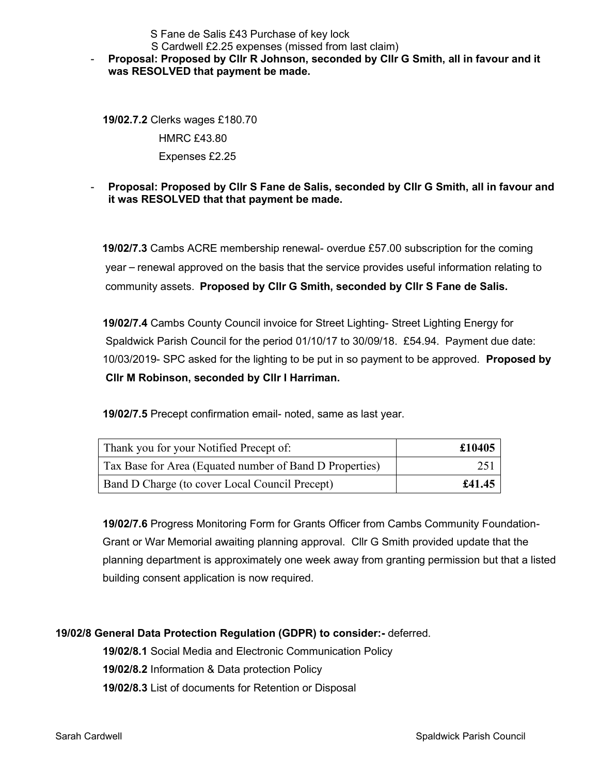S Fane de Salis £43 Purchase of key lock

## S Cardwell £2.25 expenses (missed from last claim)

## - **Proposal: Proposed by Cllr R Johnson, seconded by Cllr G Smith, all in favour and it was RESOLVED that payment be made.**

 **19/02.7.2** Clerks wages £180.70 HMRC £43.80 Expenses £2.25

## - **Proposal: Proposed by Cllr S Fane de Salis, seconded by Cllr G Smith, all in favour and it was RESOLVED that that payment be made.**

**19/02/7.3** Cambs ACRE membership renewal- overdue £57.00 subscription for the coming year – renewal approved on the basis that the service provides useful information relating to community assets. **Proposed by Cllr G Smith, seconded by Cllr S Fane de Salis.**

 **19/02/7.4** Cambs County Council invoice for Street Lighting- Street Lighting Energy for Spaldwick Parish Council for the period 01/10/17 to 30/09/18. £54.94. Payment due date: 10/03/2019- SPC asked for the lighting to be put in so payment to be approved. **Proposed by Cllr M Robinson, seconded by Cllr I Harriman.**

 **19/02/7.5** Precept confirmation email- noted, same as last year.

| Thank you for your Notified Precept of:                 | £10405 |
|---------------------------------------------------------|--------|
| Tax Base for Area (Equated number of Band D Properties) | 251    |
| Band D Charge (to cover Local Council Precept)          | £41.45 |

 **19/02/7.6** Progress Monitoring Form for Grants Officer from Cambs Community Foundation- Grant or War Memorial awaiting planning approval. Cllr G Smith provided update that the planning department is approximately one week away from granting permission but that a listed building consent application is now required.

## **19/02/8 General Data Protection Regulation (GDPR) to consider:-** deferred.

 **19/02/8.1** Social Media and Electronic Communication Policy  **19/02/8.2** Information & Data protection Policy  **19/02/8.3** List of documents for Retention or Disposal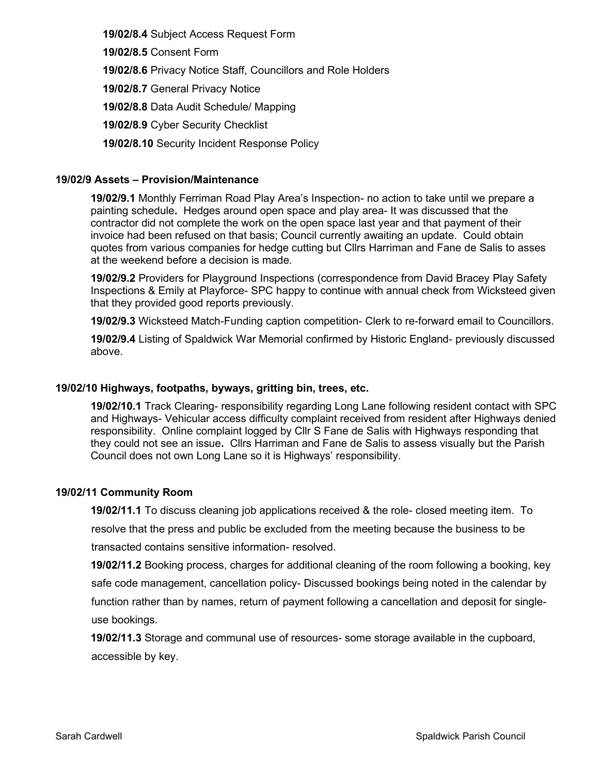**19/02/8.4** Subject Access Request Form

 **19/02/8.5** Consent Form

 **19/02/8.6** Privacy Notice Staff, Councillors and Role Holders

 **19/02/8.7** General Privacy Notice

 **19/02/8.8** Data Audit Schedule/ Mapping

 **19/02/8.9** Cyber Security Checklist

 **19/02/8.10** Security Incident Response Policy

## **19/02/9 Assets – Provision/Maintenance**

**19/02/9.1** Monthly Ferriman Road Play Area's Inspection- no action to take until we prepare a painting schedule**.** Hedges around open space and play area- It was discussed that the contractor did not complete the work on the open space last year and that payment of their invoice had been refused on that basis; Council currently awaiting an update. Could obtain quotes from various companies for hedge cutting but Cllrs Harriman and Fane de Salis to asses at the weekend before a decision is made.

**19/02/9.2** Providers for Playground Inspections (correspondence from David Bracey Play Safety Inspections & Emily at Playforce- SPC happy to continue with annual check from Wicksteed given that they provided good reports previously.

**19/02/9.3** Wicksteed Match-Funding caption competition- Clerk to re-forward email to Councillors.

**19/02/9.4** Listing of Spaldwick War Memorial confirmed by Historic England- previously discussed above.

#### **19/02/10 Highways, footpaths, byways, gritting bin, trees, etc.**

**19/02/10.1** Track Clearing- responsibility regarding Long Lane following resident contact with SPC and Highways- Vehicular access difficulty complaint received from resident after Highways denied responsibility. Online complaint logged by Cllr S Fane de Salis with Highways responding that they could not see an issue**.** Cllrs Harriman and Fane de Salis to assess visually but the Parish Council does not own Long Lane so it is Highways' responsibility.

#### **19/02/11 Community Room**

**19/02/11.1** To discuss cleaning job applications received & the role- closed meeting item. To resolve that the press and public be excluded from the meeting because the business to be transacted contains sensitive information- resolved.

**19/02/11.2** Booking process, charges for additional cleaning of the room following a booking, key safe code management, cancellation policy- Discussed bookings being noted in the calendar by function rather than by names, return of payment following a cancellation and deposit for single use bookings.

**19/02/11.3** Storage and communal use of resources- some storage available in the cupboard, accessible by key.